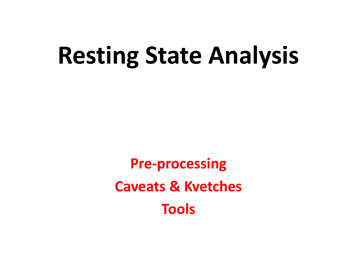# **Resting State Analysis**

**Pre-processing Caveats & Kvetches Tools**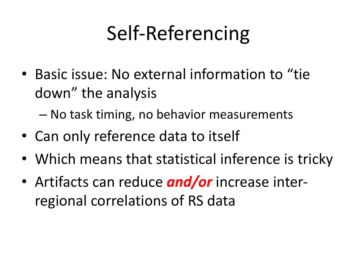### Self-Referencing

• Basic issue: No external information to "tie down" the analysis

– No task timing, no behavior measurements

- Can only reference data to itself
- Which means that statistical inference is tricky
- Artifacts can reduce *and/or* increase interregional correlations of RS data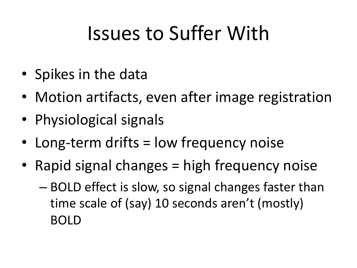### Issues to Suffer With

- Spikes in the data
- Motion artifacts, even after image registration
- Physiological signals
- Long-term drifts = low frequency noise
- Rapid signal changes = high frequency noise
	- BOLD effect is slow, so signal changes faster than time scale of (say) 10 seconds aren't (mostly) BOLD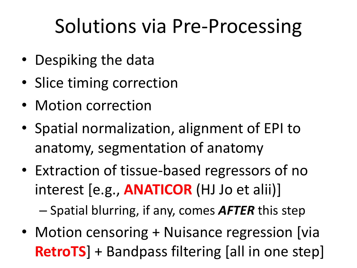### Solutions via Pre-Processing

- Despiking the data
- Slice timing correction
- Motion correction
- Spatial normalization, alignment of EPI to anatomy, segmentation of anatomy
- Extraction of tissue-based regressors of no interest [e.g., **ANATICOR** (HJ Jo et alii)]

– Spatial blurring, if any, comes *AFTER* this step

• Motion censoring + Nuisance regression [via **RetroTS**] + Bandpass filtering [all in one step]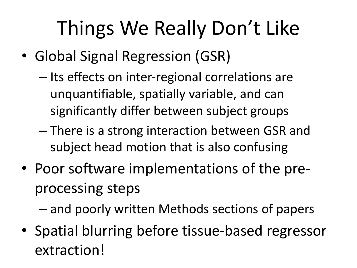### Things We Really Don't Like

- Global Signal Regression (GSR)
	- Its effects on inter-regional correlations are unquantifiable, spatially variable, and can significantly differ between subject groups
	- There is a strong interaction between GSR and subject head motion that is also confusing
- Poor software implementations of the preprocessing steps

– and poorly written Methods sections of papers

• Spatial blurring before tissue-based regressor extraction!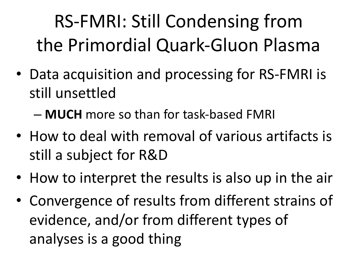RS-FMRI: Still Condensing from the Primordial Quark-Gluon Plasma

• Data acquisition and processing for RS-FMRI is still unsettled

– **MUCH** more so than for task-based FMRI

- How to deal with removal of various artifacts is still a subject for R&D
- How to interpret the results is also up in the air
- Convergence of results from different strains of evidence, and/or from different types of analyses is a good thing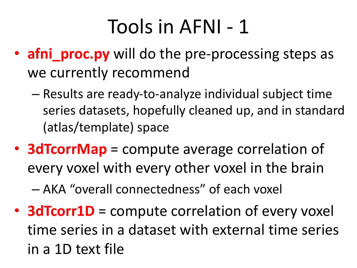### Tools in AFNI - 1

- **afni\_proc.py** will do the pre-processing steps as we currently recommend
	- Results are ready-to-analyze individual subject time series datasets, hopefully cleaned up, and in standard (atlas/template) space
- **3dTcorrMap** = compute average correlation of every voxel with every other voxel in the brain

– AKA "overall connectedness" of each voxel

• **3dTcorr1D** = compute correlation of every voxel time series in a dataset with external time series in a 1D text file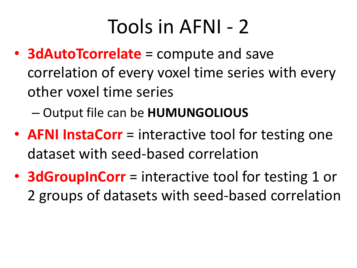### Tools in AFNI - 2

- **3dAutoTcorrelate** = compute and save correlation of every voxel time series with every other voxel time series
	- Output file can be **HUMUNGOLIOUS**
- **AFNI InstaCorr** = interactive tool for testing one dataset with seed-based correlation
- **3dGroupInCorr** = interactive tool for testing 1 or 2 groups of datasets with seed-based correlation